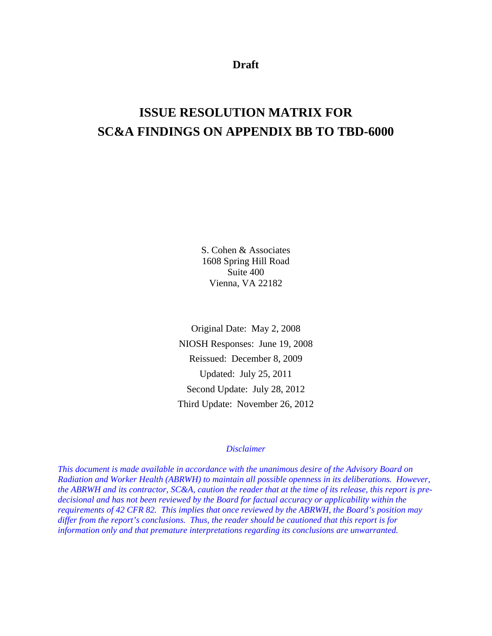**Draft** 

# **ISSUE RESOLUTION MATRIX FOR SC&A FINDINGS ON APPENDIX BB TO TBD-6000**

S. Cohen & Associates 1608 Spring Hill Road Suite 400 Vienna, VA 22182

Original Date: May 2, 2008 NIOSH Responses: June 19, 2008 Reissued: December 8, 2009 Updated: July 25, 2011 Second Update: July 28, 2012 Third Update: November 26, 2012

## *Disclaimer*

*This document is made available in accordance with the unanimous desire of the Advisory Board on Radiation and Worker Health (ABRWH) to maintain all possible openness in its deliberations. However, the ABRWH and its contractor, SC&A, caution the reader that at the time of its release, this report is predecisional and has not been reviewed by the Board for factual accuracy or applicability within the requirements of 42 CFR 82. This implies that once reviewed by the ABRWH, the Board's position may differ from the report's conclusions. Thus, the reader should be cautioned that this report is for information only and that premature interpretations regarding its conclusions are unwarranted.*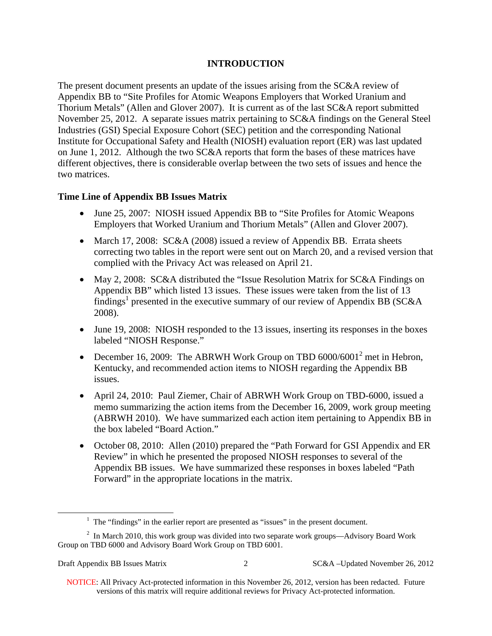## **INTRODUCTION**

The present document presents an update of the issues arising from the SC&A review of Appendix BB to "Site Profiles for Atomic Weapons Employers that Worked Uranium and Thorium Metals" (Allen and Glover 2007). It is current as of the last SC&A report submitted November 25, 2012. A separate issues matrix pertaining to SC&A findings on the General Steel Industries (GSI) Special Exposure Cohort (SEC) petition and the corresponding National Institute for Occupational Safety and Health (NIOSH) evaluation report (ER) was last updated on June 1, 2012. Although the two SC&A reports that form the bases of these matrices have different objectives, there is considerable overlap between the two sets of issues and hence the two matrices.

## **Time Line of Appendix BB Issues Matrix**

- June 25, 2007: NIOSH issued Appendix BB to "Site Profiles for Atomic Weapons" Employers that Worked Uranium and Thorium Metals" (Allen and Glover 2007).
- March 17, 2008: SC&A (2008) issued a review of Appendix BB. Errata sheets correcting two tables in the report were sent out on March 20, and a revised version that complied with the Privacy Act was released on April 21.
- May 2, 2008: SC&A distributed the "Issue Resolution Matrix for SC&A Findings on Appendix BB" which listed 13 issues. These issues were taken from the list of 13  $\widehat{\text{findings}}^1$  presented in the executive summary of our review of Appendix BB (SC&A 2008).
- June 19, 2008: NIOSH responded to the 13 issues, inserting its responses in the boxes labeled "NIOSH Response."
- December 16, 2009: The ABRWH Work Group on TBD  $6000/6001^2$  met in Hebron, Kentucky, and recommended action items to NIOSH regarding the Appendix BB issues.
- April 24, 2010: Paul Ziemer, Chair of ABRWH Work Group on TBD-6000, issued a memo summarizing the action items from the December 16, 2009, work group meeting (ABRWH 2010). We have summarized each action item pertaining to Appendix BB in the box labeled "Board Action."
- October 08, 2010: Allen (2010) prepared the "Path Forward for GSI Appendix and ER Review" in which he presented the proposed NIOSH responses to several of the Appendix BB issues. We have summarized these responses in boxes labeled "Path Forward" in the appropriate locations in the matrix.

 $\overline{a}$ 

 $<sup>1</sup>$  The "findings" in the earlier report are presented as "issues" in the present document.</sup>

 $2$  In March 2010, this work group was divided into two separate work groups—Advisory Board Work Group on TBD 6000 and Advisory Board Work Group on TBD 6001.

<sup>2</sup> SC&A –Updated November 26, 2012

 NOTICE: All Privacy Act-protected information in this November 26, 2012, version has been redacted. Future versions of this matrix will require additional reviews for Privacy Act-protected information.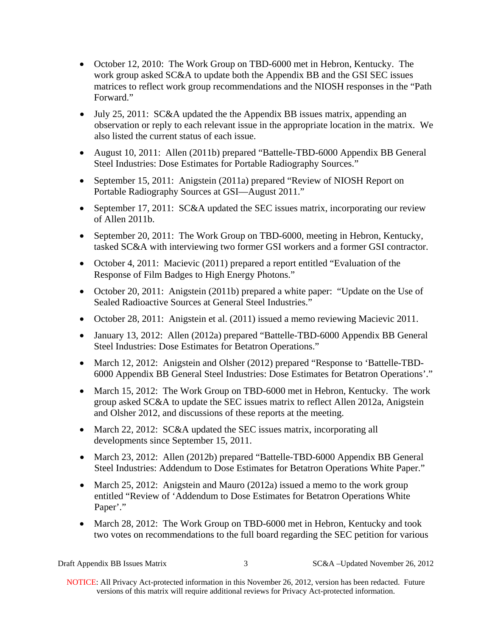- October 12, 2010: The Work Group on TBD-6000 met in Hebron, Kentucky. The work group asked SC&A to update both the Appendix BB and the GSI SEC issues matrices to reflect work group recommendations and the NIOSH responses in the "Path Forward."
- July 25, 2011: SC&A updated the the Appendix BB issues matrix, appending an observation or reply to each relevant issue in the appropriate location in the matrix. We also listed the current status of each issue.
- August 10, 2011: Allen (2011b) prepared "Battelle-TBD-6000 Appendix BB General Steel Industries: Dose Estimates for Portable Radiography Sources."
- September 15, 2011: Anigstein (2011a) prepared "Review of NIOSH Report on Portable Radiography Sources at GSI—August 2011."
- September 17, 2011: SC&A updated the SEC issues matrix, incorporating our review of Allen 2011b.
- September 20, 2011: The Work Group on TBD-6000, meeting in Hebron, Kentucky, tasked SC&A with interviewing two former GSI workers and a former GSI contractor.
- October 4, 2011: Macievic (2011) prepared a report entitled "Evaluation of the Response of Film Badges to High Energy Photons."
- October 20, 2011: Anigstein (2011b) prepared a white paper: "Update on the Use of Sealed Radioactive Sources at General Steel Industries."
- October 28, 2011: Anigstein et al. (2011) issued a memo reviewing Macievic 2011.
- January 13, 2012: Allen (2012a) prepared "Battelle-TBD-6000 Appendix BB General Steel Industries: Dose Estimates for Betatron Operations."
- March 12, 2012: Anigstein and Olsher (2012) prepared "Response to 'Battelle-TBD-6000 Appendix BB General Steel Industries: Dose Estimates for Betatron Operations'."
- March 15, 2012: The Work Group on TBD-6000 met in Hebron, Kentucky. The work group asked SC&A to update the SEC issues matrix to reflect Allen 2012a, Anigstein and Olsher 2012, and discussions of these reports at the meeting.
- March 22, 2012: SC&A updated the SEC issues matrix, incorporating all developments since September 15, 2011.
- March 23, 2012: Allen (2012b) prepared "Battelle-TBD-6000 Appendix BB General Steel Industries: Addendum to Dose Estimates for Betatron Operations White Paper."
- March 25, 2012: Anigstein and Mauro (2012a) issued a memo to the work group entitled "Review of 'Addendum to Dose Estimates for Betatron Operations White Paper'."
- March 28, 2012: The Work Group on TBD-6000 met in Hebron, Kentucky and took two votes on recommendations to the full board regarding the SEC petition for various

Draft Appendix BB Issues Matrix

3 SC&A –Updated November 26, 2012

 NOTICE: All Privacy Act-protected information in this November 26, 2012, version has been redacted. Future versions of this matrix will require additional reviews for Privacy Act-protected information.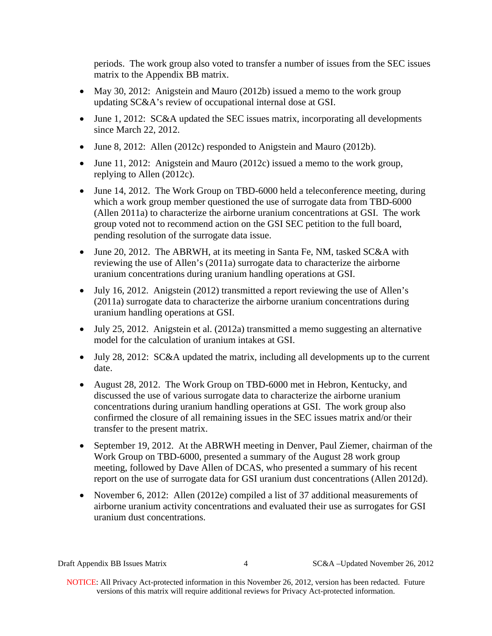periods. The work group also voted to transfer a number of issues from the SEC issues matrix to the Appendix BB matrix.

- May 30, 2012: Anigstein and Mauro (2012b) issued a memo to the work group updating SC&A's review of occupational internal dose at GSI.
- June 1, 2012: SC&A updated the SEC issues matrix, incorporating all developments since March 22, 2012.
- June 8, 2012: Allen (2012c) responded to Anigstein and Mauro (2012b).
- June 11, 2012: Anigstein and Mauro (2012c) issued a memo to the work group, replying to Allen (2012c).
- June 14, 2012. The Work Group on TBD-6000 held a teleconference meeting, during which a work group member questioned the use of surrogate data from TBD-6000 (Allen 2011a) to characterize the airborne uranium concentrations at GSI. The work group voted not to recommend action on the GSI SEC petition to the full board, pending resolution of the surrogate data issue.
- June 20, 2012. The ABRWH, at its meeting in Santa Fe, NM, tasked SC&A with reviewing the use of Allen's (2011a) surrogate data to characterize the airborne uranium concentrations during uranium handling operations at GSI.
- July 16, 2012. Anigstein (2012) transmitted a report reviewing the use of Allen's (2011a) surrogate data to characterize the airborne uranium concentrations during uranium handling operations at GSI.
- July 25, 2012. Anigstein et al. (2012a) transmitted a memo suggesting an alternative model for the calculation of uranium intakes at GSI.
- July 28, 2012: SC&A updated the matrix, including all developments up to the current date.
- August 28, 2012. The Work Group on TBD-6000 met in Hebron, Kentucky, and discussed the use of various surrogate data to characterize the airborne uranium concentrations during uranium handling operations at GSI. The work group also confirmed the closure of all remaining issues in the SEC issues matrix and/or their transfer to the present matrix.
- September 19, 2012. At the ABRWH meeting in Denver, Paul Ziemer, chairman of the Work Group on TBD-6000, presented a summary of the August 28 work group meeting, followed by Dave Allen of DCAS, who presented a summary of his recent report on the use of surrogate data for GSI uranium dust concentrations (Allen 2012d).
- November 6, 2012: Allen (2012e) compiled a list of 37 additional measurements of airborne uranium activity concentrations and evaluated their use as surrogates for GSI uranium dust concentrations.

4 SC&A –Updated November 26, 2012

 NOTICE: All Privacy Act-protected information in this November 26, 2012, version has been redacted. Future versions of this matrix will require additional reviews for Privacy Act-protected information.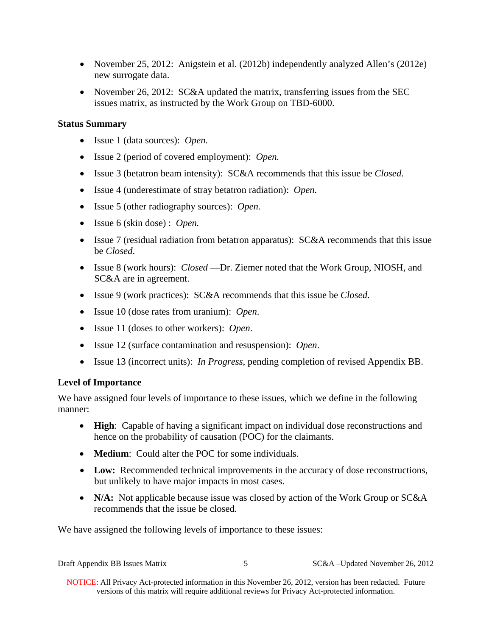- November 25, 2012: Anigstein et al. (2012b) independently analyzed Allen's (2012e) new surrogate data.
- November 26, 2012: SC&A updated the matrix, transferring issues from the SEC issues matrix, as instructed by the Work Group on TBD-6000.

## **Status Summary**

- Issue 1 (data sources): *Open.*
- Issue 2 (period of covered employment): *Open.*
- Issue 3 (betatron beam intensity): SC&A recommends that this issue be *Closed*.
- Issue 4 (underestimate of stray betatron radiation): *Open.*
- Issue 5 (other radiography sources): *Open.*
- Issue 6 (skin dose) : *Open.*
- Issue 7 (residual radiation from betatron apparatus): SC&A recommends that this issue be *Closed*.
- Issue 8 (work hours): *Closed* —Dr. Ziemer noted that the Work Group, NIOSH, and SC&A are in agreement.
- Issue 9 (work practices): SC&A recommends that this issue be *Closed*.
- Issue 10 (dose rates from uranium): *Open*.
- Issue 11 (doses to other workers): *Open*.
- Issue 12 (surface contamination and resuspension): *Open*.
- Issue 13 (incorrect units): *In Progress*, pending completion of revised Appendix BB.

## **Level of Importance**

We have assigned four levels of importance to these issues, which we define in the following manner:

- **High**: Capable of having a significant impact on individual dose reconstructions and hence on the probability of causation (POC) for the claimants.
- **Medium**: Could alter the POC for some individuals.
- **Low:** Recommended technical improvements in the accuracy of dose reconstructions, but unlikely to have major impacts in most cases.
- N/A: Not applicable because issue was closed by action of the Work Group or SC&A recommends that the issue be closed.

We have assigned the following levels of importance to these issues:

| Draft Appendix BB Issues Matrix |  | SC&A –Updated November 26, 2012 |
|---------------------------------|--|---------------------------------|
|---------------------------------|--|---------------------------------|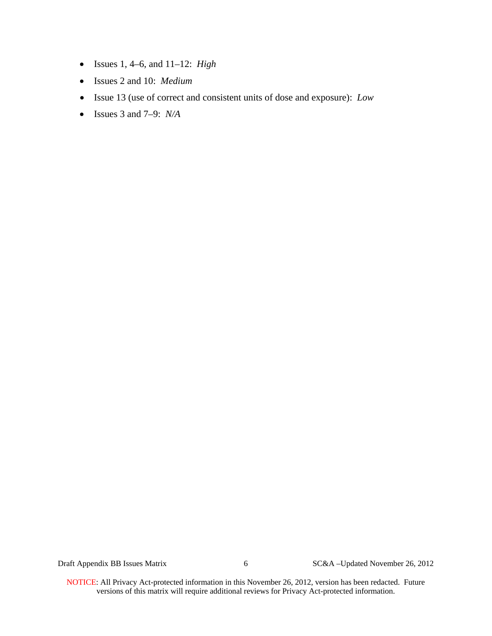- Issues 1, 4–6, and 11–12: *High*
- Issues 2 and 10: *Medium*
- Issue 13 (use of correct and consistent units of dose and exposure): *Low*
- Issues 3 and 7–9: *N/A*

Draft Appendix BB Issues Matrix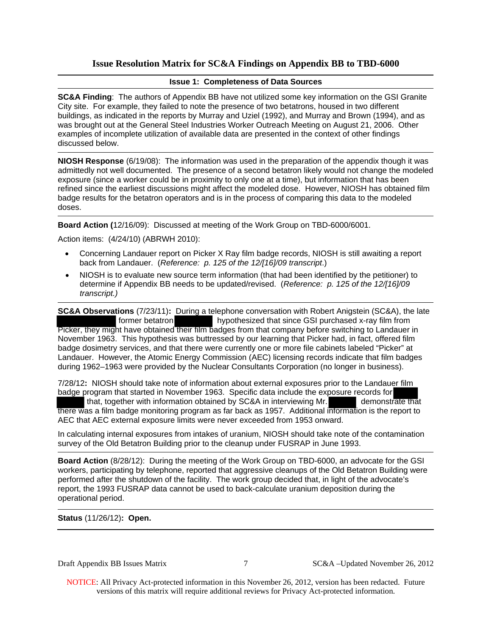## **Issue Resolution Matrix for SC&A Findings on Appendix BB to TBD-6000**

## **Issue 1: Completeness of Data Sources**

**SC&A Finding**: The authors of Appendix BB have not utilized some key information on the GSI Granite City site. For example, they failed to note the presence of two betatrons, housed in two different buildings, as indicated in the reports by Murray and Uziel (1992), and Murray and Brown (1994), and as was brought out at the General Steel Industries Worker Outreach Meeting on August 21, 2006. Other examples of incomplete utilization of available data are presented in the context of other findings discussed below.

**NIOSH Response** (6/19/08): The information was used in the preparation of the appendix though it was admittedly not well documented. The presence of a second betatron likely would not change the modeled exposure (since a worker could be in proximity to only one at a time), but information that has been refined since the earliest discussions might affect the modeled dose. However, NIOSH has obtained film badge results for the betatron operators and is in the process of comparing this data to the modeled doses.

**Board Action (**12/16/09): Discussed at meeting of the Work Group on TBD-6000/6001.

Action items: (4/24/10) (ABRWH 2010):

- Concerning Landauer report on Picker X Ray film badge records, NIOSH is still awaiting a report back from Landauer. (*Reference: p. 125 of the 12/[16]/09 transcript*.)
- NIOSH is to evaluate new source term information (that had been identified by the petitioner) to determine if Appendix BB needs to be updated/revised. (*Reference: p. 125 of the 12/[16]/09 transcript.)*

**SC&A Observations** (7/23/11): During a telephone conversation with Robert Anigstein (SC&A), the late former betatron hypothesized that since GSI purchased x-ray film from Picker, they might have obtained their film badges from that company before switching to Landauer in November 1963. This hypothesis was buttressed by our learning that Picker had, in fact, offered film badge dosimetry services, and that there were currently one or more file cabinets labeled "Picker" at Landauer. However, the Atomic Energy Commission (AEC) licensing records indicate that film badges during 1962–1963 were provided by the Nuclear Consultants Corporation (no longer in business).

7/28/12**:** NIOSH should take note of information about external exposures prior to the Landauer film badge program that started in November 1963. Specific data include the exposure records for that, together with information obtained by SC&A in interviewing Mr. demonstrate that there was a film badge monitoring program as far back as 1957. Additional information is the report to AEC that AEC external exposure limits were never exceeded from 1953 onward.

In calculating internal exposures from intakes of uranium, NIOSH should take note of the contamination survey of the Old Betatron Building prior to the cleanup under FUSRAP in June 1993.

**Board Action** (8/28/12): During the meeting of the Work Group on TBD-6000, an advocate for the GSI workers, participating by telephone, reported that aggressive cleanups of the Old Betatron Building were performed after the shutdown of the facility. The work group decided that, in light of the advocate's report, the 1993 FUSRAP data cannot be used to back-calculate uranium deposition during the operational period.

**Status** (11/26/12)**: Open.** 

Draft Appendix BB Issues Matrix

7 SC&A –Updated November 26, 2012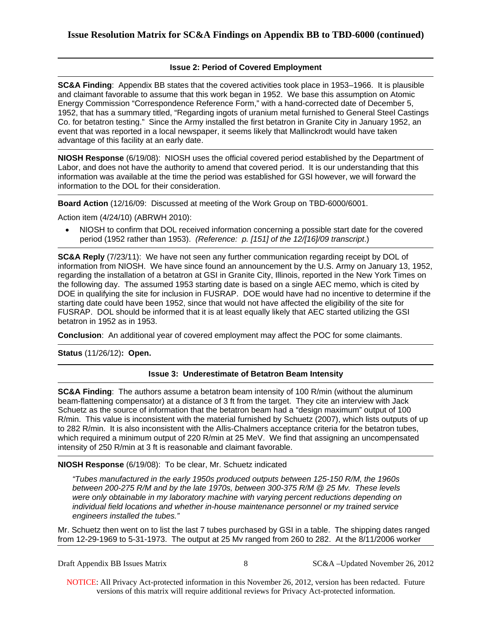## **Issue 2: Period of Covered Employment**

**SC&A Finding**: Appendix BB states that the covered activities took place in 1953–1966. It is plausible and claimant favorable to assume that this work began in 1952. We base this assumption on Atomic Energy Commission "Correspondence Reference Form," with a hand-corrected date of December 5, 1952, that has a summary titled, "Regarding ingots of uranium metal furnished to General Steel Castings Co. for betatron testing." Since the Army installed the first betatron in Granite City in January 1952, an event that was reported in a local newspaper, it seems likely that Mallinckrodt would have taken advantage of this facility at an early date.

**NIOSH Response** (6/19/08): NIOSH uses the official covered period established by the Department of Labor, and does not have the authority to amend that covered period. It is our understanding that this information was available at the time the period was established for GSI however, we will forward the information to the DOL for their consideration.

**Board Action** (12/16/09: Discussed at meeting of the Work Group on TBD-6000/6001.

Action item (4/24/10) (ABRWH 2010):

 NIOSH to confirm that DOL received information concerning a possible start date for the covered period (1952 rather than 1953). *(Reference: p. [151] of the 12/[16]/09 transcript*.)

**SC&A Reply** (7/23/11): We have not seen any further communication regarding receipt by DOL of information from NIOSH. We have since found an announcement by the U.S. Army on January 13, 1952, regarding the installation of a betatron at GSI in Granite City, Illinois, reported in the New York Times on the following day. The assumed 1953 starting date is based on a single AEC memo, which is cited by DOE in qualifying the site for inclusion in FUSRAP. DOE would have had no incentive to determine if the starting date could have been 1952, since that would not have affected the eligibility of the site for FUSRAP. DOL should be informed that it is at least equally likely that AEC started utilizing the GSI betatron in 1952 as in 1953.

**Conclusion**: An additional year of covered employment may affect the POC for some claimants.

**Status** (11/26/12)**: Open.** 

## **Issue 3: Underestimate of Betatron Beam Intensity**

**SC&A Finding**: The authors assume a betatron beam intensity of 100 R/min (without the aluminum beam-flattening compensator) at a distance of 3 ft from the target. They cite an interview with Jack Schuetz as the source of information that the betatron beam had a "design maximum" output of 100 R/min. This value is inconsistent with the material furnished by Schuetz (2007), which lists outputs of up to 282 R/min. It is also inconsistent with the Allis-Chalmers acceptance criteria for the betatron tubes, which required a minimum output of 220 R/min at 25 MeV. We find that assigning an uncompensated intensity of 250 R/min at 3 ft is reasonable and claimant favorable.

**NIOSH Response** (6/19/08): To be clear, Mr. Schuetz indicated

*"Tubes manufactured in the early 1950s produced outputs between 125-150 R/M, the 1960s between 200-275 R/M and by the late 1970s, between 300-375 R/M @ 25 Mv. These levels were only obtainable in my laboratory machine with varying percent reductions depending on individual field locations and whether in-house maintenance personnel or my trained service engineers installed the tubes."*

Mr. Schuetz then went on to list the last 7 tubes purchased by GSI in a table. The shipping dates ranged from 12-29-1969 to 5-31-1973. The output at 25 Mv ranged from 260 to 282. At the 8/11/2006 worker

8 SC&A –Updated November 26, 2012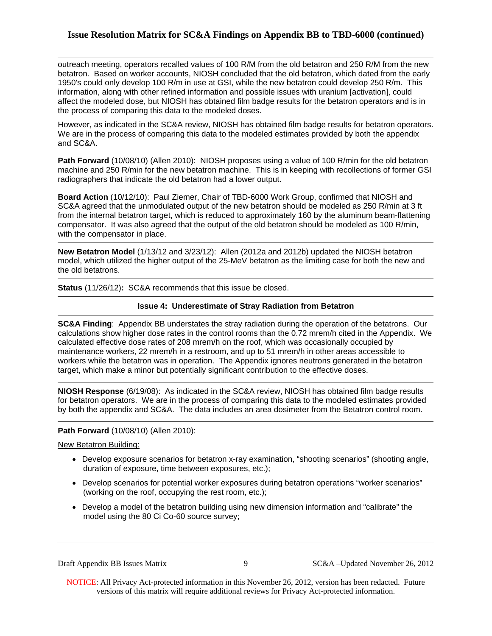## **Issue Resolution Matrix for SC&A Findings on Appendix BB to TBD-6000 (continued)**

outreach meeting, operators recalled values of 100 R/M from the old betatron and 250 R/M from the new betatron. Based on worker accounts, NIOSH concluded that the old betatron, which dated from the early 1950's could only develop 100 R/m in use at GSI, while the new betatron could develop 250 R/m. This information, along with other refined information and possible issues with uranium [activation], could affect the modeled dose, but NIOSH has obtained film badge results for the betatron operators and is in the process of comparing this data to the modeled doses.

However, as indicated in the SC&A review, NIOSH has obtained film badge results for betatron operators. We are in the process of comparing this data to the modeled estimates provided by both the appendix and SC&A.

**Path Forward** (10/08/10) (Allen 2010): NIOSH proposes using a value of 100 R/min for the old betatron machine and 250 R/min for the new betatron machine. This is in keeping with recollections of former GSI radiographers that indicate the old betatron had a lower output.

**Board Action** (10/12/10): Paul Ziemer, Chair of TBD-6000 Work Group, confirmed that NIOSH and SC&A agreed that the unmodulated output of the new betatron should be modeled as 250 R/min at 3 ft from the internal betatron target, which is reduced to approximately 160 by the aluminum beam-flattening compensator. It was also agreed that the output of the old betatron should be modeled as 100 R/min, with the compensator in place.

**New Betatron Model** (1/13/12 and 3/23/12): Allen (2012a and 2012b) updated the NIOSH betatron model, which utilized the higher output of the 25-MeV betatron as the limiting case for both the new and the old betatrons.

**Status** (11/26/12)**:** SC&A recommends that this issue be closed.

#### **Issue 4: Underestimate of Stray Radiation from Betatron**

**SC&A Finding**: Appendix BB understates the stray radiation during the operation of the betatrons. Our calculations show higher dose rates in the control rooms than the 0.72 mrem/h cited in the Appendix. We calculated effective dose rates of 208 mrem/h on the roof, which was occasionally occupied by maintenance workers, 22 mrem/h in a restroom, and up to 51 mrem/h in other areas accessible to workers while the betatron was in operation. The Appendix ignores neutrons generated in the betatron target, which make a minor but potentially significant contribution to the effective doses.

**NIOSH Response** (6/19/08): As indicated in the SC&A review, NIOSH has obtained film badge results for betatron operators. We are in the process of comparing this data to the modeled estimates provided by both the appendix and SC&A. The data includes an area dosimeter from the Betatron control room.

#### **Path Forward** (10/08/10) (Allen 2010):

New Betatron Building:

- duration of exposure, time between exposures, etc.); Develop exposure scenarios for betatron x-ray examination, "shooting scenarios" (shooting angle,
- (working on the roof, occupying the rest room, etc.); Develop scenarios for potential worker exposures during betatron operations "worker scenarios"
- Develop a model of the betatron building using new dimension information and "calibrate" the model using the 80 Ci Co-60 source survey;

Draft Appendix BB Issues Matrix

9 SC&A –Updated November 26, 2012

 NOTICE: All Privacy Act-protected information in this November 26, 2012, version has been redacted. Future versions of this matrix will require additional reviews for Privacy Act-protected information.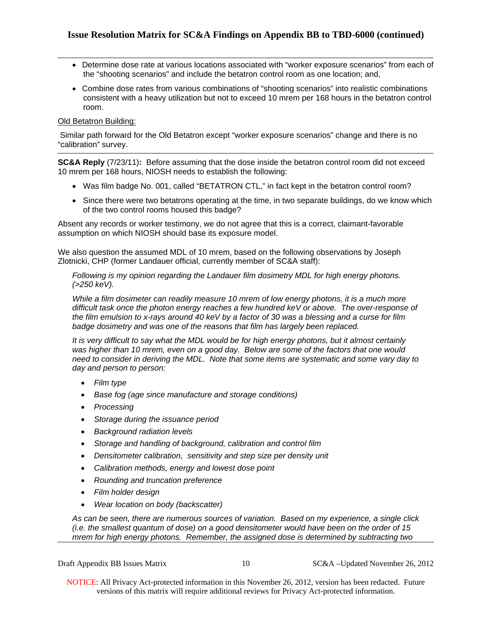- Determine dose rate at various locations associated with "worker exposure scenarios" from each of the "shooting scenarios" and include the betatron control room as one location; and,
- room. Combine dose rates from various combinations of "shooting scenarios" into realistic combinations consistent with a heavy utilization but not to exceed 10 mrem per 168 hours in the betatron control

## Old Betatron Building:

 Similar path forward for the Old Betatron except "worker exposure scenarios" change and there is no "calibration" survey.

**SC&A Reply** (7/23/11)**:** Before assuming that the dose inside the betatron control room did not exceed 10 mrem per 168 hours, NIOSH needs to establish the following:

- Was film badge No. 001, called "BETATRON CTL," in fact kept in the betatron control room?
- Since there were two betatrons operating at the time, in two separate buildings, do we know which of the two control rooms housed this badge?

Absent any records or worker testimony, we do not agree that this is a correct, claimant-favorable assumption on which NIOSH should base its exposure model.

We also question the assumed MDL of 10 mrem, based on the following observations by Joseph Zlotnicki, CHP (former Landauer official, currently member of SC&A staff):

*Following is my opinion regarding the Landauer film dosimetry MDL for high energy photons. (>250 keV).* 

*While a film dosimeter can readily measure 10 mrem of low energy photons, it is a much more difficult task once the photon energy reaches a few hundred keV or above. The over-response of the film emulsion to x-rays around 40 keV by a factor of 30 was a blessing and a curse for film badge dosimetry and was one of the reasons that film has largely been replaced.* 

*It is very difficult to say what the MDL would be for high energy photons, but it almost certainly was higher than 10 mrem, even on a good day. Below are some of the factors that one would need to consider in deriving the MDL. Note that some items are systematic and some vary day to day and person to person:* 

- *Film type*
- *Base fog (age since manufacture and storage conditions)*
- *Processing*
- *Storage during the issuance period*
- *Background radiation levels*
- *Storage and handling of background, calibration and control film*
- *Densitometer calibration, sensitivity and step size per density unit*
- *Calibration methods, energy and lowest dose point*
- *Rounding and truncation preference*
- *Film holder design*
- *Wear location on body (backscatter)*

*As can be seen, there are numerous sources of variation. Based on my experience, a single click (i.e. the smallest quantum of dose) on a good densitometer would have been on the order of 15 mrem for high energy photons. Remember, the assigned dose is determined by subtracting two* 

10 SC&A –Updated November 26, 2012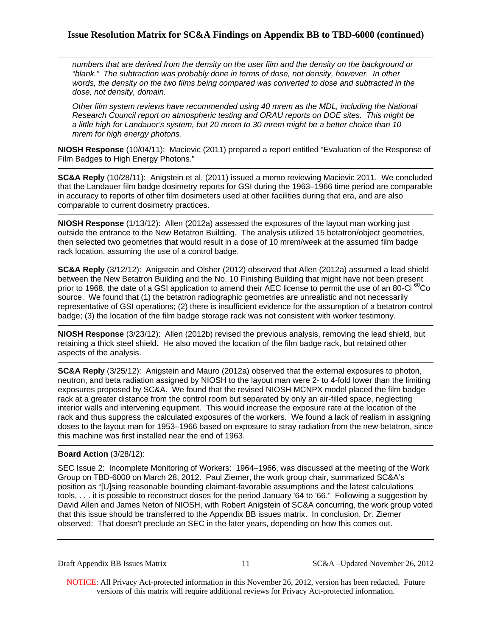*numbers that are derived from the density on the user film and the density on the background or "blank." The subtraction was probably done in terms of dose, not density, however. In other words, the density on the two films being compared was converted to dose and subtracted in the dose, not density, domain.* 

*Other film system reviews have recommended using 40 mrem as the MDL, including the National Research Council report on atmospheric testing and ORAU reports on DOE sites. This might be a little high for Landauer's system, but 20 mrem to 30 mrem might be a better choice than 10 mrem for high energy photons.* 

**NIOSH Response** (10/04/11): Macievic (2011) prepared a report entitled "Evaluation of the Response of Film Badges to High Energy Photons."

**SC&A Reply** (10/28/11): Anigstein et al. (2011) issued a memo reviewing Macievic 2011. We concluded that the Landauer film badge dosimetry reports for GSI during the 1963–1966 time period are comparable in accuracy to reports of other film dosimeters used at other facilities during that era, and are also comparable to current dosimetry practices.

**NIOSH Response** (1/13/12): Allen (2012a) assessed the exposures of the layout man working just outside the entrance to the New Betatron Building. The analysis utilized 15 betatron/object geometries, then selected two geometries that would result in a dose of 10 mrem/week at the assumed film badge rack location, assuming the use of a control badge.

**SC&A Reply** (3/12/12): Anigstein and Olsher (2012) observed that Allen (2012a) assumed a lead shield between the New Betatron Building and the No. 10 Finishing Building that might have not been present prior to 1968, the date of a GSI application to amend their AEC license to permit the use of an 80-Ci<sup>60</sup>Co source. We found that (1) the betatron radiographic geometries are unrealistic and not necessarily representative of GSI operations; (2) there is insufficient evidence for the assumption of a betatron control badge; (3) the location of the film badge storage rack was not consistent with worker testimony.

**NIOSH Response** (3/23/12): Allen (2012b) revised the previous analysis, removing the lead shield, but retaining a thick steel shield. He also moved the location of the film badge rack, but retained other aspects of the analysis.

**SC&A Reply** (3/25/12): Anigstein and Mauro (2012a) observed that the external exposures to photon, neutron, and beta radiation assigned by NIOSH to the layout man were 2- to 4-fold lower than the limiting exposures proposed by SC&A. We found that the revised NIOSH MCNPX model placed the film badge rack at a greater distance from the control room but separated by only an air-filled space, neglecting interior walls and intervening equipment. This would increase the exposure rate at the location of the rack and thus suppress the calculated exposures of the workers. We found a lack of realism in assigning doses to the layout man for 1953–1966 based on exposure to stray radiation from the new betatron, since this machine was first installed near the end of 1963.

## **Board Action** (3/28/12):

SEC Issue 2: Incomplete Monitoring of Workers: 1964–1966, was discussed at the meeting of the Work Group on TBD-6000 on March 28, 2012. Paul Ziemer, the work group chair, summarized SC&A's position as "[U]sing reasonable bounding claimant-favorable assumptions and the latest calculations tools, . . . it is possible to reconstruct doses for the period January '64 to '66." Following a suggestion by David Allen and James Neton of NIOSH, with Robert Anigstein of SC&A concurring, the work group voted that this issue should be transferred to the Appendix BB issues matrix. In conclusion, Dr. Ziemer observed: That doesn't preclude an SEC in the later years, depending on how this comes out.

Draft Appendix BB Issues Matrix

11 SC&A –Updated November 26, 2012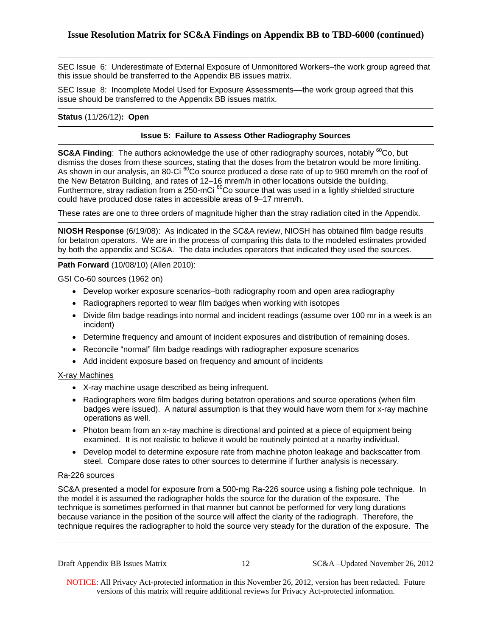SEC Issue 6: Underestimate of External Exposure of Unmonitored Workers–the work group agreed that this issue should be transferred to the Appendix BB issues matrix.

SEC Issue 8: Incomplete Model Used for Exposure Assessments––the work group agreed that this issue should be transferred to the Appendix BB issues matrix.

## **Status** (11/26/12)**: Open**

## **Issue 5: Failure to Assess Other Radiography Sources**

**SC&A Finding:** The authors acknowledge the use of other radiography sources, notably <sup>60</sup>Co, but dismiss the doses from these sources, stating that the doses from the betatron would be more limiting. As shown in our analysis, an 80-Ci <sup>60</sup>Co source produced a dose rate of up to 960 mrem/h on the roof of the New Betatron Building, and rates of 12–16 mrem/h in other locations outside the building. Furthermore, stray radiation from a 250-mCi<sup>60</sup>Co source that was used in a lightly shielded structure could have produced dose rates in accessible areas of 9–17 mrem/h.

These rates are one to three orders of magnitude higher than the stray radiation cited in the Appendix.

**NIOSH Response** (6/19/08): As indicated in the SC&A review, NIOSH has obtained film badge results for betatron operators. We are in the process of comparing this data to the modeled estimates provided by both the appendix and SC&A. The data includes operators that indicated they used the sources.

## **Path Forward** (10/08/10) (Allen 2010):

GSI Co-60 sources (1962 on)

- Develop worker exposure scenarios–both radiography room and open area radiography
- Radiographers reported to wear film badges when working with isotopes
- Divide film badge readings into normal and incident readings (assume over 100 mr in a week is an incident)
- Determine frequency and amount of incident exposures and distribution of remaining doses.
- Reconcile "normal" film badge readings with radiographer exposure scenarios
- Add incident exposure based on frequency and amount of incidents

## X-ray Machines

- X-ray machine usage described as being infrequent.
- Radiographers wore film badges during betatron operations and source operations (when film badges were issued). A natural assumption is that they would have worn them for x-ray machine operations as well.
- examined. It is not realistic to believe it would be routinely pointed at a nearby individual. • Photon beam from an x-ray machine is directional and pointed at a piece of equipment being
- steel. Compare dose rates to other sources to determine if further analysis is necessary.<br>Ra-226 sources • Develop model to determine exposure rate from machine photon leakage and backscatter from

SC&A presented a model for exposure from a 500-mg Ra-226 source using a fishing pole technique. In the model it is assumed the radiographer holds the source for the duration of the exposure. The technique is sometimes performed in that manner but cannot be performed for very long durations because variance in the position of the source will affect the clarity of the radiograph. Therefore, the technique requires the radiographer to hold the source very steady for the duration of the exposure. The

Draft Appendix BB Issues Matrix

12 SC&A –Updated November 26, 2012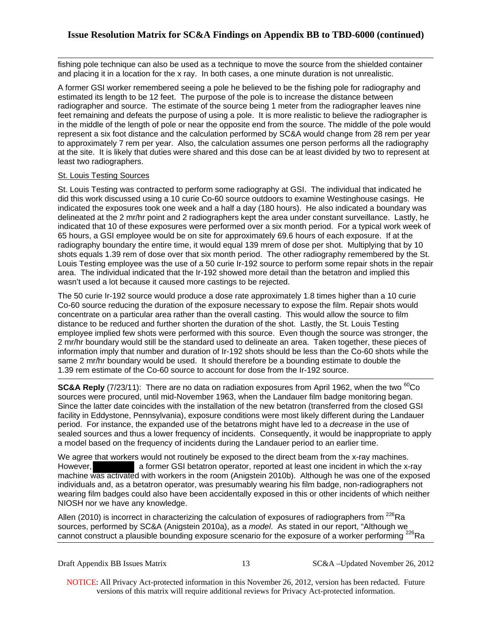fishing pole technique can also be used as a technique to move the source from the shielded container and placing it in a location for the x ray. In both cases, a one minute duration is not unrealistic.

A former GSI worker remembered seeing a pole he believed to be the fishing pole for radiography and estimated its length to be 12 feet. The purpose of the pole is to increase the distance between radiographer and source. The estimate of the source being 1 meter from the radiographer leaves nine feet remaining and defeats the purpose of using a pole. It is more realistic to believe the radiographer is in the middle of the length of pole or near the opposite end from the source. The middle of the pole would represent a six foot distance and the calculation performed by SC&A would change from 28 rem per year to approximately 7 rem per year. Also, the calculation assumes one person performs all the radiography at the site. It is likely that duties were shared and this dose can be at least divided by two to represent at least two radiographers.

## St. Louis Testing Sources

St. Louis Testing was contracted to perform some radiography at GSI. The individual that indicated he did this work discussed using a 10 curie Co-60 source outdoors to examine Westinghouse casings. He indicated the exposures took one week and a half a day (180 hours). He also indicated a boundary was delineated at the 2 mr/hr point and 2 radiographers kept the area under constant surveillance. Lastly, he indicated that 10 of these exposures were performed over a six month period. For a typical work week of 65 hours, a GSI employee would be on site for approximately 69.6 hours of each exposure. If at the radiography boundary the entire time, it would equal 139 mrem of dose per shot. Multiplying that by 10 shots equals 1.39 rem of dose over that six month period. The other radiography remembered by the St. Louis Testing employee was the use of a 50 curie Ir-192 source to perform some repair shots in the repair area. The individual indicated that the Ir-192 showed more detail than the betatron and implied this wasn't used a lot because it caused more castings to be rejected.

The 50 curie Ir-192 source would produce a dose rate approximately 1.8 times higher than a 10 curie Co-60 source reducing the duration of the exposure necessary to expose the film. Repair shots would concentrate on a particular area rather than the overall casting. This would allow the source to film distance to be reduced and further shorten the duration of the shot. Lastly, the St. Louis Testing employee implied few shots were performed with this source. Even though the source was stronger, the 2 mr/hr boundary would still be the standard used to delineate an area. Taken together, these pieces of information imply that number and duration of Ir-192 shots should be less than the Co-60 shots while the same 2 mr/hr boundary would be used. It should therefore be a bounding estimate to double the 1.39 rem estimate of the Co-60 source to account for dose from the Ir-192 source.

**SC&A Reply** (7/23/11): There are no data on radiation exposures from April 1962, when the two <sup>60</sup>Co sources were procured, until mid-November 1963, when the Landauer film badge monitoring began. Since the latter date coincides with the installation of the new betatron (transferred from the closed GSI facility in Eddystone, Pennsylvania), exposure conditions were most likely different during the Landauer period. For instance, the expanded use of the betatrons might have led to a *decrease* in the use of sealed sources and thus a lower frequency of incidents. Consequently, it would be inappropriate to apply a model based on the frequency of incidents during the Landauer period to an earlier time.

We agree that workers would not routinely be exposed to the direct beam from the x-ray machines. However, a former GSI betatron operator, reported at least one incident in which the x-ray machine was activated with workers in the room (Anigstein 2010b). Although he was one of the exposed individuals and, as a betatron operator, was presumably wearing his film badge, non-radiographers not wearing film badges could also have been accidentally exposed in this or other incidents of which neither NIOSH nor we have any knowledge.

Allen (2010) is incorrect in characterizing the calculation of exposures of radiographers from  $^{226}$ Ra sources, performed by SC&A (Anigstein 2010a), as a *model*. As stated in our report, "Although we cannot construct a plausible bounding exposure scenario for the exposure of a worker performing <sup>226</sup>Ra

13 SC&A –Updated November 26, 2012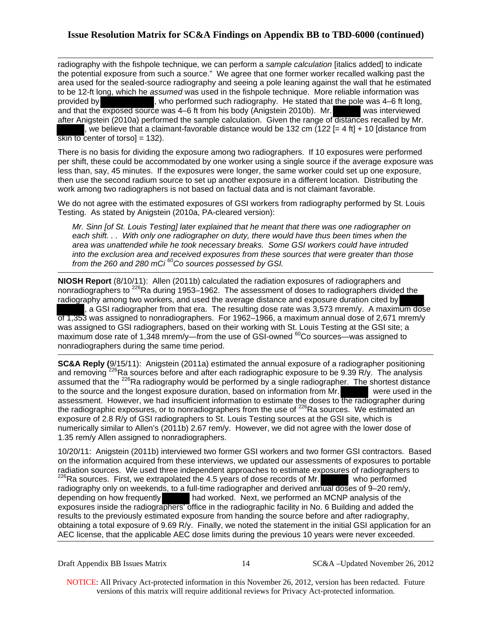## **Issue Resolution Matrix for SC&A Findings on Appendix BB to TBD-6000 (continued)**

radiography with the fishpole technique, we can perform a *sample calculation* [italics added] to indicate the potential exposure from such a source." We agree that one former worker recalled walking past the area used for the sealed-source radiography and seeing a pole leaning against the wall that he estimated to be 12-ft long, which he *assumed* was used in the fishpole technique. More reliable information was provided by , who performed such radiography. He stated that the pole was 4–6 ft long, and that the exposed source was 4–6 ft from his body (Anigstein 2010b). Mr. was interviewed after Anigstein (2010a) performed the sample calculation. Given the range of distances recalled by Mr. , we believe that a claimant-favorable distance would be 132 cm  $(122$  [= 4 ft] + 10 [distance from skin to center of torso $= 132$ ).

There is no basis for dividing the exposure among two radiographers. If 10 exposures were performed per shift, these could be accommodated by one worker using a single source if the average exposure was less than, say, 45 minutes. If the exposures were longer, the same worker could set up one exposure, then use the second radium source to set up another exposure in a different location. Distributing the work among two radiographers is not based on factual data and is not claimant favorable.

We do not agree with the estimated exposures of GSI workers from radiography performed by St. Louis Testing. As stated by Anigstein (2010a, PA-cleared version):

 *from the 260 and 280 mCi 60Co sources possessed by GSI. Mr. Sinn [of St. Louis Testing] later explained that he meant that there was one radiographer on each shift. . . With only one radiographer on duty, there would have thus been times when the area was unattended while he took necessary breaks. Some GSI workers could have intruded into the exclusion area and received exposures from these sources that were greater than those* 

**NIOSH Report** (8/10/11): Allen (2011b) calculated the radiation exposures of radiographers and nonradiographers to <sup>226</sup>Ra during 1953–1962. The assessment of doses to radiographers divided the radiography among two workers, and used the average distance and exposure duration cited by

, a GSI radiographer from that era. The resulting dose rate was 3,573 mrem/y. A maximum dose of 1,353 was assigned to nonradiographers. For 1962–1966, a maximum annual dose of 2,671 mrem/y was assigned to GSI radiographers, based on their working with St. Louis Testing at the GSI site; a maximum dose rate of 1,348 mrem/y—from the use of GSI-owned <sup>60</sup>Co sources—was assigned to nonradiographers during the same time period.

**SC&A Reply (**9/15/11): Anigstein (2011a) estimated the annual exposure of a radiographer positioning and removing <sup>226</sup>Ra sources before and after each radiographic exposure to be 9.39 R/y. The analysis assumed that the <sup>226</sup>Ra radiography would be performed by a single radiographer. The shortest distance to the source and the longest exposure duration, based on information from Mr. were used in the assessment. However, we had insufficient information to estimate the doses to the radiographer during the radiographic exposures, or to nonradiographers from the use of  $^{226}$ Ra sources. We estimated an exposure of 2.8 R/y of GSI radiographers to St. Louis Testing sources at the GSI site, which is numerically similar to Allen's (2011b) 2.67 rem/y. However, we did not agree with the lower dose of 1.35 rem/y Allen assigned to nonradiographers.

10/20/11: Anigstein (2011b) interviewed two former GSI workers and two former GSI contractors. Based on the information acquired from these interviews, we updated our assessments of exposures to portable radiation sources. We used three independent approaches to estimate exposures of radiographers to  $\frac{226}{8}Ra$  sources. First, we extrapolated the 4.5 years of dose records of Mr. who performed radiography only on weekends, to a full-time radiographer and derived annual doses of 9–20 rem/y, depending on how frequently and worked. Next, we performed an MCNP analysis of the had worked. Next, we performed an MCNP analysis of the exposures inside the radiographers' office in the radiographic facility in No. 6 Building and added the results to the previously estimated exposure from handing the source before and after radiography, obtaining a total exposure of 9.69 R/y. Finally, we noted the statement in the initial GSI application for an AEC license, that the applicable AEC dose limits during the previous 10 years were never exceeded.

Draft Appendix BB Issues Matrix

14 SC&A –Updated November 26, 2012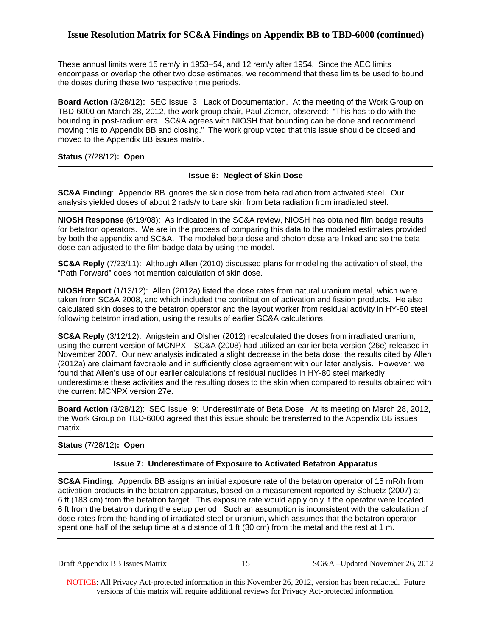## **Issue Resolution Matrix for SC&A Findings on Appendix BB to TBD-6000 (continued)**

These annual limits were 15 rem/y in 1953–54, and 12 rem/y after 1954. Since the AEC limits encompass or overlap the other two dose estimates, we recommend that these limits be used to bound the doses during these two respective time periods.

**Board Action** (3/28/12): SEC Issue 3: Lack of Documentation. At the meeting of the Work Group on TBD-6000 on March 28, 2012, the work group chair, Paul Ziemer, observed: "This has to do with the bounding in post-radium era. SC&A agrees with NIOSH that bounding can be done and recommend moving this to Appendix BB and closing." The work group voted that this issue should be closed and moved to the Appendix BB issues matrix.

**Status** (7/28/12)**: Open** 

## **Issue 6: Neglect of Skin Dose**

**SC&A Finding**: Appendix BB ignores the skin dose from beta radiation from activated steel. Our analysis yielded doses of about 2 rads/y to bare skin from beta radiation from irradiated steel.

**NIOSH Response** (6/19/08): As indicated in the SC&A review, NIOSH has obtained film badge results for betatron operators. We are in the process of comparing this data to the modeled estimates provided by both the appendix and SC&A. The modeled beta dose and photon dose are linked and so the beta dose can adjusted to the film badge data by using the model.

**SC&A Reply** (7/23/11): Although Allen (2010) discussed plans for modeling the activation of steel, the "Path Forward" does not mention calculation of skin dose.

**NIOSH Report** (1/13/12): Allen (2012a) listed the dose rates from natural uranium metal, which were taken from SC&A 2008, and which included the contribution of activation and fission products. He also calculated skin doses to the betatron operator and the layout worker from residual activity in HY-80 steel following betatron irradiation, using the results of earlier SC&A calculations.

**SC&A Reply** (3/12/12): Anigstein and Olsher (2012) recalculated the doses from irradiated uranium, using the current version of MCNPX—SC&A (2008) had utilized an earlier beta version (26e) released in November 2007. Our new analysis indicated a slight decrease in the beta dose; the results cited by Allen (2012a) are claimant favorable and in sufficiently close agreement with our later analysis. However, we found that Allen's use of our earlier calculations of residual nuclides in HY-80 steel markedly underestimate these activities and the resulting doses to the skin when compared to results obtained with the current MCNPX version 27e.

**Board Action** (3/28/12): SEC Issue 9: Underestimate of Beta Dose. At its meeting on March 28, 2012, the Work Group on TBD-6000 agreed that this issue should be transferred to the Appendix BB issues matrix.

#### **Status** (7/28/12)**: Open**

## **Issue 7: Underestimate of Exposure to Activated Betatron Apparatus**

**SC&A Finding**: Appendix BB assigns an initial exposure rate of the betatron operator of 15 mR/h from activation products in the betatron apparatus, based on a measurement reported by Schuetz (2007) at 6 ft (183 cm) from the betatron target. This exposure rate would apply only if the operator were located 6 ft from the betatron during the setup period. Such an assumption is inconsistent with the calculation of dose rates from the handling of irradiated steel or uranium, which assumes that the betatron operator spent one half of the setup time at a distance of 1 ft (30 cm) from the metal and the rest at 1 m.

Draft Appendix BB Issues Matrix

15 SC&A –Updated November 26, 2012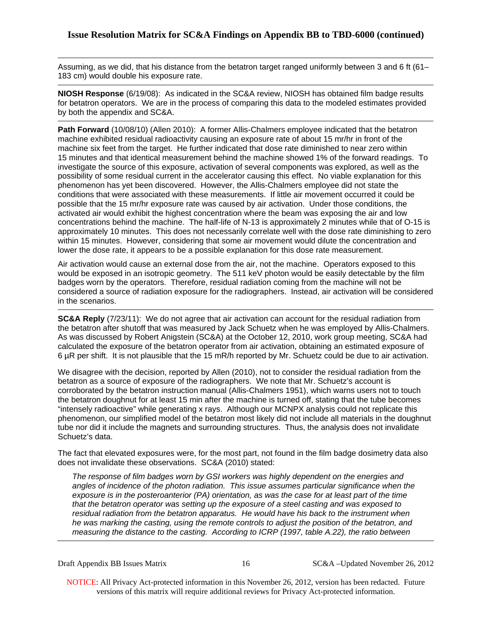Assuming, as we did, that his distance from the betatron target ranged uniformly between 3 and 6 ft (61– 183 cm) would double his exposure rate.

**NIOSH Response** (6/19/08): As indicated in the SC&A review, NIOSH has obtained film badge results for betatron operators. We are in the process of comparing this data to the modeled estimates provided by both the appendix and SC&A.

**Path Forward** (10/08/10) (Allen 2010): A former Allis-Chalmers employee indicated that the betatron machine exhibited residual radioactivity causing an exposure rate of about 15 mr/hr in front of the machine six feet from the target. He further indicated that dose rate diminished to near zero within 15 minutes and that identical measurement behind the machine showed 1% of the forward readings. To investigate the source of this exposure, activation of several components was explored, as well as the possibility of some residual current in the accelerator causing this effect. No viable explanation for this phenomenon has yet been discovered. However, the Allis-Chalmers employee did not state the conditions that were associated with these measurements. If little air movement occurred it could be possible that the 15 mr/hr exposure rate was caused by air activation. Under those conditions, the activated air would exhibit the highest concentration where the beam was exposing the air and low concentrations behind the machine. The half-life of N-13 is approximately 2 minutes while that of O-15 is approximately 10 minutes. This does not necessarily correlate well with the dose rate diminishing to zero within 15 minutes. However, considering that some air movement would dilute the concentration and lower the dose rate, it appears to be a possible explanation for this dose rate measurement.

Air activation would cause an external dose from the air, not the machine. Operators exposed to this would be exposed in an isotropic geometry. The 511 keV photon would be easily detectable by the film badges worn by the operators. Therefore, residual radiation coming from the machine will not be considered a source of radiation exposure for the radiographers. Instead, air activation will be considered in the scenarios.

the betatron after shutoff that was measured by Jack Schuetz when he was employed by Allis-Chalmers. **SC&A Reply** (7/23/11): We do not agree that air activation can account for the residual radiation from As was discussed by Robert Anigstein (SC&A) at the October 12, 2010, work group meeting, SC&A had calculated the exposure of the betatron operator from air activation, obtaining an estimated exposure of 6 µR per shift. It is not plausible that the 15 mR/h reported by Mr. Schuetz could be due to air activation.

We disagree with the decision, reported by Allen (2010), not to consider the residual radiation from the betatron as a source of exposure of the radiographers. We note that Mr. Schuetz's account is corroborated by the betatron instruction manual (Allis-Chalmers 1951), which warns users not to touch the betatron doughnut for at least 15 min after the machine is turned off, stating that the tube becomes "intensely radioactive" while generating x rays. Although our MCNPX analysis could not replicate this phenomenon, our simplified model of the betatron most likely did not include all materials in the doughnut tube nor did it include the magnets and surrounding structures. Thus, the analysis does not invalidate Schuetz's data.

The fact that elevated exposures were, for the most part, not found in the film badge dosimetry data also does not invalidate these observations. SC&A (2010) stated:

*The response of film badges worn by GSI workers was highly dependent on the energies and angles of incidence of the photon radiation. This issue assumes particular significance when the exposure is in the posteroanterior (PA) orientation, as was the case for at least part of the time that the betatron operator was setting up the exposure of a steel casting and was exposed to residual radiation from the betatron apparatus. He would have his back to the instrument when he was marking the casting, using the remote controls to adjust the position of the betatron, and measuring the distance to the casting. According to ICRP (1997, table A.22), the ratio between* 

Draft Appendix BB Issues Matrix

16 SC&A –Updated November 26, 2012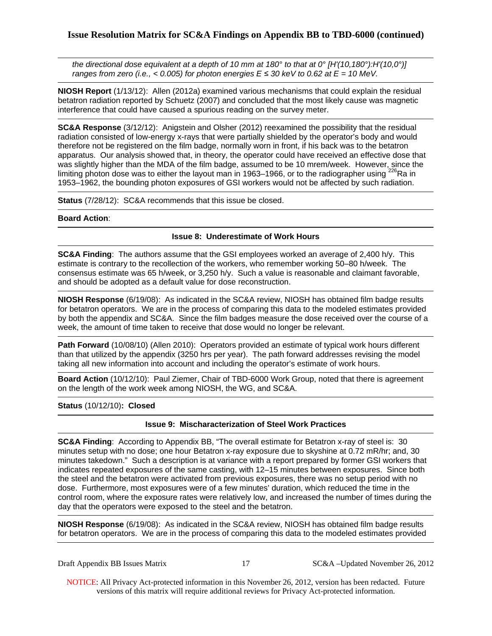*the directional dose equivalent at a depth of 10 mm at 180° to that at 0° [H'(10,180°):H'(10,0°)] ranges from zero (i.e., < 0.005) for photon energies*  $E \le 30$  *keV to 0.62 at*  $E = 10$  *MeV.* 

**NIOSH Report** (1/13/12): Allen (2012a) examined various mechanisms that could explain the residual betatron radiation reported by Schuetz (2007) and concluded that the most likely cause was magnetic interference that could have caused a spurious reading on the survey meter.

**SC&A Response** (3/12/12): Anigstein and Olsher (2012) reexamined the possibility that the residual radiation consisted of low-energy x-rays that were partially shielded by the operator's body and would therefore not be registered on the film badge, normally worn in front, if his back was to the betatron apparatus. Our analysis showed that, in theory, the operator could have received an effective dose that was slightly higher than the MDA of the film badge, assumed to be 10 mrem/week. However, since the limiting photon dose was to either the layout man in 1963–1966, or to the radiographer using <sup>226</sup>Ra in 1953–1962, the bounding photon exposures of GSI workers would not be affected by such radiation.

**Status** (7/28/12): SC&A recommends that this issue be closed.

## **Board Action**:

## **Issue 8: Underestimate of Work Hours**

**SC&A Finding**: The authors assume that the GSI employees worked an average of 2,400 h/y. This estimate is contrary to the recollection of the workers, who remember working 50–80 h/week. The consensus estimate was 65 h/week, or 3,250 h/y. Such a value is reasonable and claimant favorable, and should be adopted as a default value for dose reconstruction.

**NIOSH Response** (6/19/08): As indicated in the SC&A review, NIOSH has obtained film badge results for betatron operators. We are in the process of comparing this data to the modeled estimates provided by both the appendix and SC&A. Since the film badges measure the dose received over the course of a week, the amount of time taken to receive that dose would no longer be relevant.

**Path Forward** (10/08/10) (Allen 2010): Operators provided an estimate of typical work hours different than that utilized by the appendix (3250 hrs per year). The path forward addresses revising the model taking all new information into account and including the operator's estimate of work hours.

**Board Action** (10/12/10): Paul Ziemer, Chair of TBD-6000 Work Group, noted that there is agreement on the length of the work week among NIOSH, the WG, and SC&A.

## **Status** (10/12/10)**: Closed**

## **Issue 9: Mischaracterization of Steel Work Practices**

**SC&A Finding**: According to Appendix BB, "The overall estimate for Betatron x-ray of steel is: 30 minutes setup with no dose; one hour Betatron x-ray exposure due to skyshine at 0.72 mR/hr; and, 30 minutes takedown." Such a description is at variance with a report prepared by former GSI workers that indicates repeated exposures of the same casting, with 12–15 minutes between exposures. Since both the steel and the betatron were activated from previous exposures, there was no setup period with no dose. Furthermore, most exposures were of a few minutes' duration, which reduced the time in the control room, where the exposure rates were relatively low, and increased the number of times during the day that the operators were exposed to the steel and the betatron.

**NIOSH Response** (6/19/08): As indicated in the SC&A review, NIOSH has obtained film badge results for betatron operators. We are in the process of comparing this data to the modeled estimates provided

17 SC&A –Updated November 26, 2012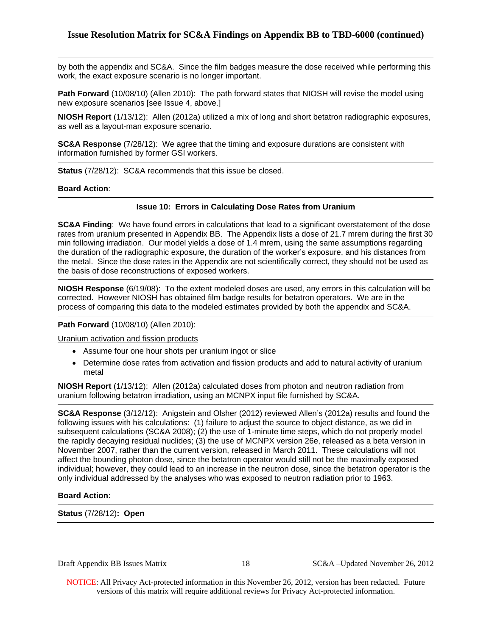by both the appendix and SC&A. Since the film badges measure the dose received while performing this work, the exact exposure scenario is no longer important.

**Path Forward** (10/08/10) (Allen 2010): The path forward states that NIOSH will revise the model using new exposure scenarios [see Issue 4, above.]

**NIOSH Report** (1/13/12): Allen (2012a) utilized a mix of long and short betatron radiographic exposures, as well as a layout-man exposure scenario.

**SC&A Response** (7/28/12): We agree that the timing and exposure durations are consistent with information furnished by former GSI workers.

**Status** (7/28/12): SC&A recommends that this issue be closed.

#### **Board Action**:

#### **Issue 10: Errors in Calculating Dose Rates from Uranium**

**SC&A Finding**: We have found errors in calculations that lead to a significant overstatement of the dose rates from uranium presented in Appendix BB. The Appendix lists a dose of 21.7 mrem during the first 30 min following irradiation. Our model yields a dose of 1.4 mrem, using the same assumptions regarding the duration of the radiographic exposure, the duration of the worker's exposure, and his distances from the metal. Since the dose rates in the Appendix are not scientifically correct, they should not be used as the basis of dose reconstructions of exposed workers.

**NIOSH Response** (6/19/08): To the extent modeled doses are used, any errors in this calculation will be corrected. However NIOSH has obtained film badge results for betatron operators. We are in the process of comparing this data to the modeled estimates provided by both the appendix and SC&A.

#### **Path Forward** (10/08/10) (Allen 2010):

Uranium activation and fission products

- Assume four one hour shots per uranium ingot or slice
- Determine dose rates from activation and fission products and add to natural activity of uranium metal

**NIOSH Report** (1/13/12): Allen (2012a) calculated doses from photon and neutron radiation from uranium following betatron irradiation, using an MCNPX input file furnished by SC&A.

**SC&A Response** (3/12/12): Anigstein and Olsher (2012) reviewed Allen's (2012a) results and found the following issues with his calculations: (1) failure to adjust the source to object distance, as we did in subsequent calculations (SC&A 2008); (2) the use of 1-minute time steps, which do not properly model the rapidly decaying residual nuclides; (3) the use of MCNPX version 26e, released as a beta version in November 2007, rather than the current version, released in March 2011. These calculations will not affect the bounding photon dose, since the betatron operator would still not be the maximally exposed individual; however, they could lead to an increase in the neutron dose, since the betatron operator is the only individual addressed by the analyses who was exposed to neutron radiation prior to 1963.

#### **Board Action:**

**Status** (7/28/12)**: Open** 

Draft Appendix BB Issues Matrix

18 SC&A –Updated November 26, 2012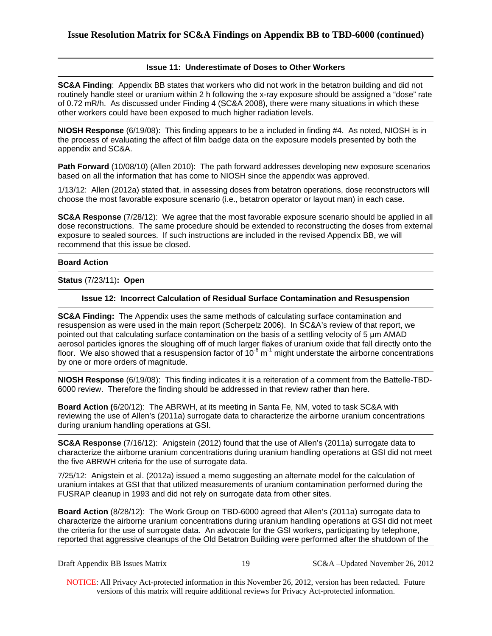## **Issue 11: Underestimate of Doses to Other Workers**

**SC&A Finding**: Appendix BB states that workers who did not work in the betatron building and did not routinely handle steel or uranium within 2 h following the x-ray exposure should be assigned a "dose" rate of 0.72 mR/h. As discussed under Finding 4 (SC&A 2008), there were many situations in which these other workers could have been exposed to much higher radiation levels.

**NIOSH Response** (6/19/08): This finding appears to be a included in finding #4. As noted, NIOSH is in the process of evaluating the affect of film badge data on the exposure models presented by both the appendix and SC&A.

**Path Forward** (10/08/10) (Allen 2010): The path forward addresses developing new exposure scenarios based on all the information that has come to NIOSH since the appendix was approved.

1/13/12: Allen (2012a) stated that, in assessing doses from betatron operations, dose reconstructors will choose the most favorable exposure scenario (i.e., betatron operator or layout man) in each case.

**SC&A Response** (7/28/12): We agree that the most favorable exposure scenario should be applied in all dose reconstructions. The same procedure should be extended to reconstructing the doses from external exposure to sealed sources. If such instructions are included in the revised Appendix BB, we will recommend that this issue be closed.

#### **Board Action**

**Status** (7/23/11)**: Open** 

#### **Issue 12: Incorrect Calculation of Residual Surface Contamination and Resuspension**

**SC&A Finding:** The Appendix uses the same methods of calculating surface contamination and resuspension as were used in the main report (Scherpelz 2006). In SC&A's review of that report, we pointed out that calculating surface contamination on the basis of a settling velocity of 5 μm AMAD aerosol particles ignores the sloughing off of much larger flakes of uranium oxide that fall directly onto the floor. We also showed that a resuspension factor of  $10^{-6}$  m<sup>-1</sup> might understate the airborne concentrations by one or more orders of magnitude.

**NIOSH Response** (6/19/08): This finding indicates it is a reiteration of a comment from the Battelle-TBD-6000 review. Therefore the finding should be addressed in that review rather than here.

**Board Action (**6/20/12): The ABRWH, at its meeting in Santa Fe, NM, voted to task SC&A with reviewing the use of Allen's (2011a) surrogate data to characterize the airborne uranium concentrations during uranium handling operations at GSI.

 **SC&A Response** (7/16/12): Anigstein (2012) found that the use of Allen's (2011a) surrogate data to characterize the airborne uranium concentrations during uranium handling operations at GSI did not meet the five ABRWH criteria for the use of surrogate data.

7/25/12: Anigstein et al. (2012a) issued a memo suggesting an alternate model for the calculation of uranium intakes at GSI that that utilized measurements of uranium contamination performed during the FUSRAP cleanup in 1993 and did not rely on surrogate data from other sites.

**Board Action** (8/28/12): The Work Group on TBD-6000 agreed that Allen's (2011a) surrogate data to characterize the airborne uranium concentrations during uranium handling operations at GSI did not meet the criteria for the use of surrogate data. An advocate for the GSI workers, participating by telephone, reported that aggressive cleanups of the Old Betatron Building were performed after the shutdown of the

| Draft Appendix BB Issues Matrix |  |  |
|---------------------------------|--|--|
|---------------------------------|--|--|

19 SC&A –Updated November 26, 2012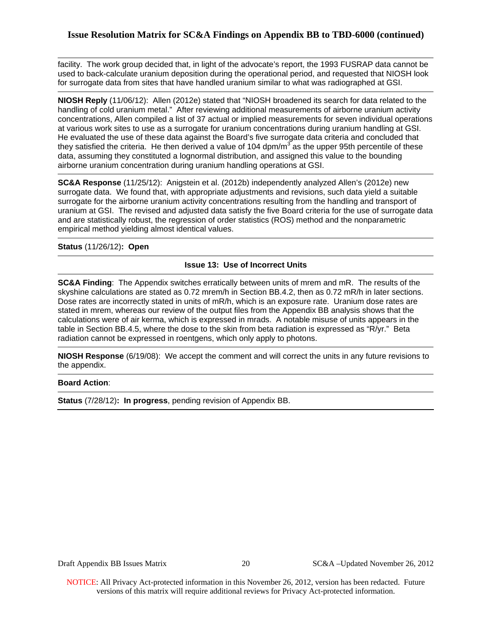## **Issue Resolution Matrix for SC&A Findings on Appendix BB to TBD-6000 (continued)**

facility. The work group decided that, in light of the advocate's report, the 1993 FUSRAP data cannot be used to back-calculate uranium deposition during the operational period, and requested that NIOSH look for surrogate data from sites that have handled uranium similar to what was radiographed at GSI.

**NIOSH Reply** (11/06/12): Allen (2012e) stated that "NIOSH broadened its search for data related to the handling of cold uranium metal." After reviewing additional measurements of airborne uranium activity concentrations, Allen compiled a list of 37 actual or implied measurements for seven individual operations at various work sites to use as a surrogate for uranium concentrations during uranium handling at GSI. He evaluated the use of these data against the Board's five surrogate data criteria and concluded that they satisfied the criteria. He then derived a value of 104 dpm/ $m<sup>3</sup>$  as the upper 95th percentile of these data, assuming they constituted a lognormal distribution, and assigned this value to the bounding airborne uranium concentration during uranium handling operations at GSI.

**SC&A Response** (11/25/12): Anigstein et al. (2012b) independently analyzed Allen's (2012e) new surrogate data. We found that, with appropriate adjustments and revisions, such data yield a suitable surrogate for the airborne uranium activity concentrations resulting from the handling and transport of uranium at GSI. The revised and adjusted data satisfy the five Board criteria for the use of surrogate data and are statistically robust, the regression of order statistics (ROS) method and the nonparametric empirical method yielding almost identical values.

**Status** (11/26/12)**: Open** 

## **Issue 13: Use of Incorrect Units**

**SC&A Finding**: The Appendix switches erratically between units of mrem and mR. The results of the skyshine calculations are stated as 0.72 mrem/h in Section BB.4.2, then as 0.72 mR/h in later sections. Dose rates are incorrectly stated in units of mR/h, which is an exposure rate. Uranium dose rates are stated in mrem, whereas our review of the output files from the Appendix BB analysis shows that the calculations were of air kerma, which is expressed in mrads. A notable misuse of units appears in the table in Section BB.4.5, where the dose to the skin from beta radiation is expressed as "R/yr." Beta radiation cannot be expressed in roentgens, which only apply to photons.

**NIOSH Response** (6/19/08): We accept the comment and will correct the units in any future revisions to the appendix.

## **Board Action**:

**Status** (7/28/12)**: In progress**, pending revision of Appendix BB.

Draft Appendix BB Issues Matrix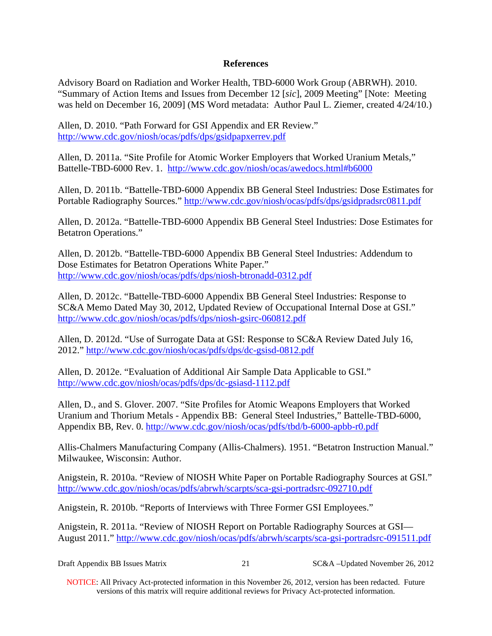## **References**

Advisory Board on Radiation and Worker Health, TBD-6000 Work Group (ABRWH). 2010. "Summary of Action Items and Issues from December 12 [*sic*], 2009 Meeting" [Note: Meeting was held on December 16, 2009] (MS Word metadata: Author Paul L. Ziemer, created 4/24/10.)

Allen, D. 2010. "Path Forward for GSI Appendix and ER Review." http://www.cdc.gov/niosh/ocas/pdfs/dps/gsidpapxerrev.pdf

Allen, D. 2011a. "Site Profile for Atomic Worker Employers that Worked Uranium Metals," Battelle-TBD-6000 Rev. 1. http://www.cdc.gov/niosh/ocas/awedocs.html#b6000

Allen, D. 2011b. "Battelle-TBD-6000 Appendix BB General Steel Industries: Dose Estimates for Portable Radiography Sources." http://www.cdc.gov/niosh/ocas/pdfs/dps/gsidpradsrc0811.pdf

Allen, D. 2012a. "Battelle-TBD-6000 Appendix BB General Steel Industries: Dose Estimates for Betatron Operations."

Allen, D. 2012b. "Battelle-TBD-6000 Appendix BB General Steel Industries: Addendum to Dose Estimates for Betatron Operations White Paper." http://www.cdc.gov/niosh/ocas/pdfs/dps/niosh-btronadd-0312.pdf

Allen, D. 2012c. "Battelle-TBD-6000 Appendix BB General Steel Industries: Response to SC&A Memo Dated May 30, 2012, Updated Review of Occupational Internal Dose at GSI." http://www.cdc.gov/niosh/ocas/pdfs/dps/niosh-gsirc-060812.pdf

Allen, D. 2012d. "Use of Surrogate Data at GSI: Response to SC&A Review Dated July 16, 2012." http://www.cdc.gov/niosh/ocas/pdfs/dps/dc-gsisd-0812.pdf

Allen, D. 2012e. "Evaluation of Additional Air Sample Data Applicable to GSI." http://www.cdc.gov/niosh/ocas/pdfs/dps/dc-gsiasd-1112.pdf

Allen, D., and S. Glover. 2007. "Site Profiles for Atomic Weapons Employers that Worked Uranium and Thorium Metals - Appendix BB: General Steel Industries," Battelle-TBD-6000, Appendix BB, Rev. 0. http://www.cdc.gov/niosh/ocas/pdfs/tbd/b-6000-apbb-r0.pdf

Allis-Chalmers Manufacturing Company (Allis-Chalmers). 1951. "Betatron Instruction Manual." Milwaukee, Wisconsin: Author.

Anigstein, R. 2010a. "Review of NIOSH White Paper on Portable Radiography Sources at GSI." http://www.cdc.gov/niosh/ocas/pdfs/abrwh/scarpts/sca-gsi-portradsrc-092710.pdf

Anigstein, R. 2010b. "Reports of Interviews with Three Former GSI Employees."

Anigstein, R. 2011a. "Review of NIOSH Report on Portable Radiography Sources at GSI— August 2011." http://www.cdc.gov/niosh/ocas/pdfs/abrwh/scarpts/sca-gsi-portradsrc-091511.pdf

| Draft Appendix BB Issues Matrix |  | SC&A –Updated November 26, 2012 |
|---------------------------------|--|---------------------------------|
|---------------------------------|--|---------------------------------|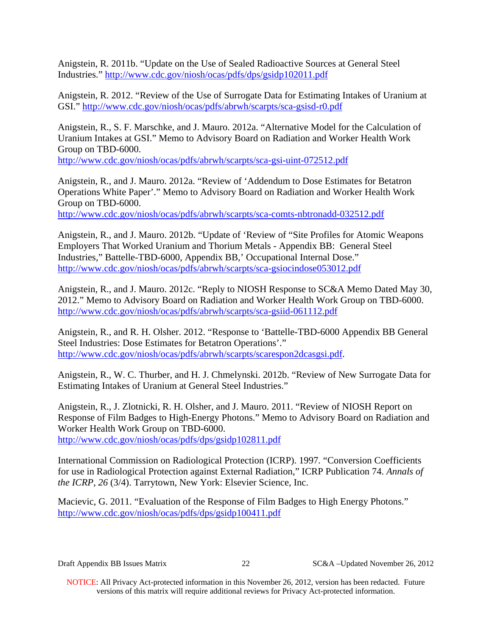Anigstein, R. 2011b. "Update on the Use of Sealed Radioactive Sources at General Steel Industries." http://www.cdc.gov/niosh/ocas/pdfs/dps/gsidp102011.pdf

Anigstein, R. 2012. "Review of the Use of Surrogate Data for Estimating Intakes of Uranium at GSI." http://www.cdc.gov/niosh/ocas/pdfs/abrwh/scarpts/sca-gsisd-r0.pdf

Anigstein, R., S. F. Marschke, and J. Mauro. 2012a. "Alternative Model for the Calculation of Uranium Intakes at GSI." Memo to Advisory Board on Radiation and Worker Health Work Group on TBD-6000.

http://www.cdc.gov/niosh/ocas/pdfs/abrwh/scarpts/sca-gsi-uint-072512.pdf

Anigstein, R., and J. Mauro. 2012a. "Review of 'Addendum to Dose Estimates for Betatron Operations White Paper'." Memo to Advisory Board on Radiation and Worker Health Work Group on TBD-6000.

http://www.cdc.gov/niosh/ocas/pdfs/abrwh/scarpts/sca-comts-nbtronadd-032512.pdf

Anigstein, R., and J. Mauro. 2012b. "Update of 'Review of "Site Profiles for Atomic Weapons Employers That Worked Uranium and Thorium Metals - Appendix BB: General Steel Industries," Battelle-TBD-6000, Appendix BB,' Occupational Internal Dose." http://www.cdc.gov/niosh/ocas/pdfs/abrwh/scarpts/sca-gsiocindose053012.pdf

Anigstein, R., and J. Mauro. 2012c. "Reply to NIOSH Response to SC&A Memo Dated May 30, 2012." Memo to Advisory Board on Radiation and Worker Health Work Group on TBD-6000. http://www.cdc.gov/niosh/ocas/pdfs/abrwh/scarpts/sca-gsiid-061112.pdf

Anigstein, R., and R. H. Olsher. 2012. "Response to 'Battelle-TBD-6000 Appendix BB General Steel Industries: Dose Estimates for Betatron Operations'." http://www.cdc.gov/niosh/ocas/pdfs/abrwh/scarpts/scarespon2dcasgsi.pdf.

Anigstein, R., W. C. Thurber, and H. J. Chmelynski. 2012b. "Review of New Surrogate Data for Estimating Intakes of Uranium at General Steel Industries."

Anigstein, R., J. Zlotnicki, R. H. Olsher, and J. Mauro. 2011. "Review of NIOSH Report on Response of Film Badges to High-Energy Photons." Memo to Advisory Board on Radiation and Worker Health Work Group on TBD-6000.

http://www.cdc.gov/niosh/ocas/pdfs/dps/gsidp102811.pdf

International Commission on Radiological Protection (ICRP). 1997*.* "Conversion Coefficients for use in Radiological Protection against External Radiation," ICRP Publication 74. *Annals of the ICRP*, *26* (3/4). Tarrytown, New York: Elsevier Science, Inc.

Macievic, G. 2011. "Evaluation of the Response of Film Badges to High Energy Photons." http://www.cdc.gov/niosh/ocas/pdfs/dps/gsidp100411.pdf

Draft Appendix BB Issues Matrix

22 SC&A –Updated November 26, 2012